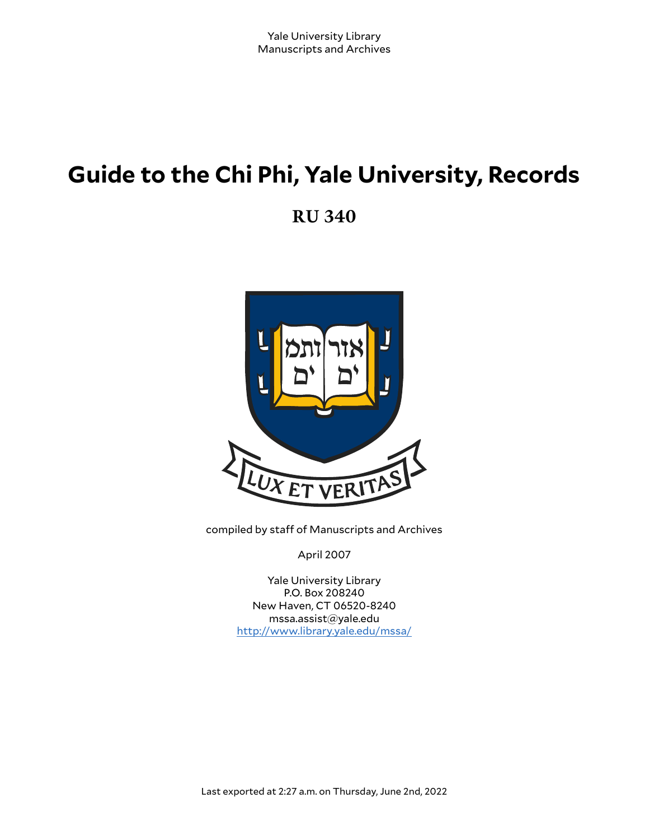# **Guide to the Chi Phi, Yale University, Records**

**RU 340**



compiled by staff of Manuscripts and Archives

April 2007

Yale University Library P.O. Box 208240 New Haven, CT 06520-8240 mssa.assist@yale.edu <http://www.library.yale.edu/mssa/>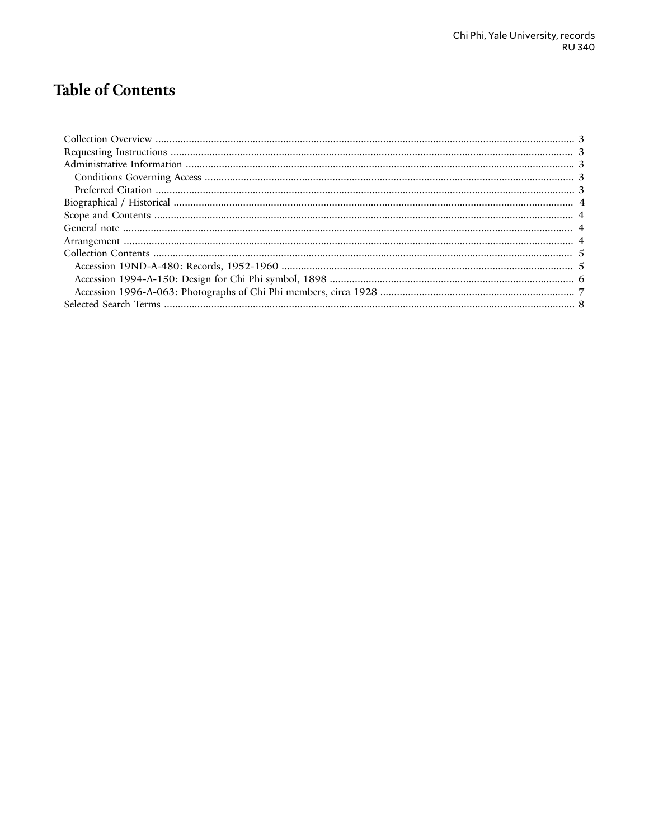# **Table of Contents**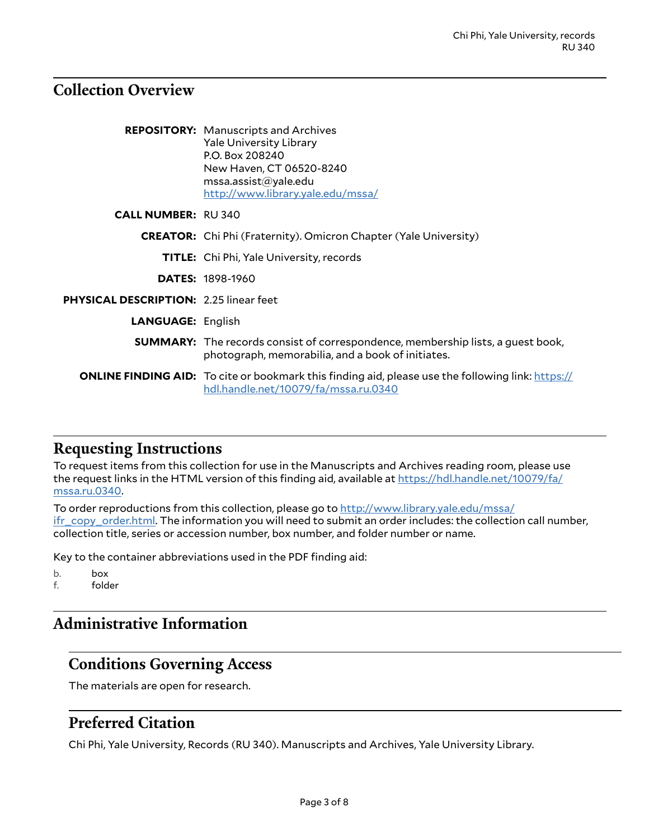# <span id="page-2-0"></span>**Collection Overview**

|                                               | <b>REPOSITORY:</b> Manuscripts and Archives<br><b>Yale University Library</b><br>P.O. Box 208240<br>New Haven, CT 06520-8240<br>msa. assist@yale.edu<br>http://www.library.yale.edu/mssa/ |
|-----------------------------------------------|-------------------------------------------------------------------------------------------------------------------------------------------------------------------------------------------|
| <b>CALL NUMBER: RU340</b>                     |                                                                                                                                                                                           |
|                                               | <b>CREATOR:</b> Chi Phi (Fraternity). Omicron Chapter (Yale University)                                                                                                                   |
|                                               | <b>TITLE:</b> Chi Phi, Yale University, records                                                                                                                                           |
|                                               | <b>DATES: 1898-1960</b>                                                                                                                                                                   |
| <b>PHYSICAL DESCRIPTION: 2.25 linear feet</b> |                                                                                                                                                                                           |
| <b>LANGUAGE: English</b>                      |                                                                                                                                                                                           |
|                                               | <b>SUMMARY:</b> The records consist of correspondence, membership lists, a guest book,<br>photograph, memorabilia, and a book of initiates.                                               |
|                                               | <b>ONLINE FINDING AID:</b> To cite or bookmark this finding aid, please use the following link: https://<br>hdl.handle.net/10079/fa/mssa.ru.0340                                          |

## <span id="page-2-1"></span>**Requesting Instructions**

To request items from this collection for use in the Manuscripts and Archives reading room, please use the request links in the HTML version of this finding aid, available at [https://hdl.handle.net/10079/fa/](https://hdl.handle.net/10079/fa/mssa.ru.0340) [mssa.ru.0340.](https://hdl.handle.net/10079/fa/mssa.ru.0340)

To order reproductions from this collection, please go to [http://www.library.yale.edu/mssa/](http://www.library.yale.edu/mssa/ifr_copy_order.html) [ifr\\_copy\\_order.html.](http://www.library.yale.edu/mssa/ifr_copy_order.html) The information you will need to submit an order includes: the collection call number, collection title, series or accession number, box number, and folder number or name.

Key to the container abbreviations used in the PDF finding aid:

b. box f. folder

# <span id="page-2-2"></span>**Administrative Information**

# <span id="page-2-3"></span>**Conditions Governing Access**

The materials are open for research.

# <span id="page-2-4"></span>**Preferred Citation**

Chi Phi, Yale University, Records (RU 340). Manuscripts and Archives, Yale University Library.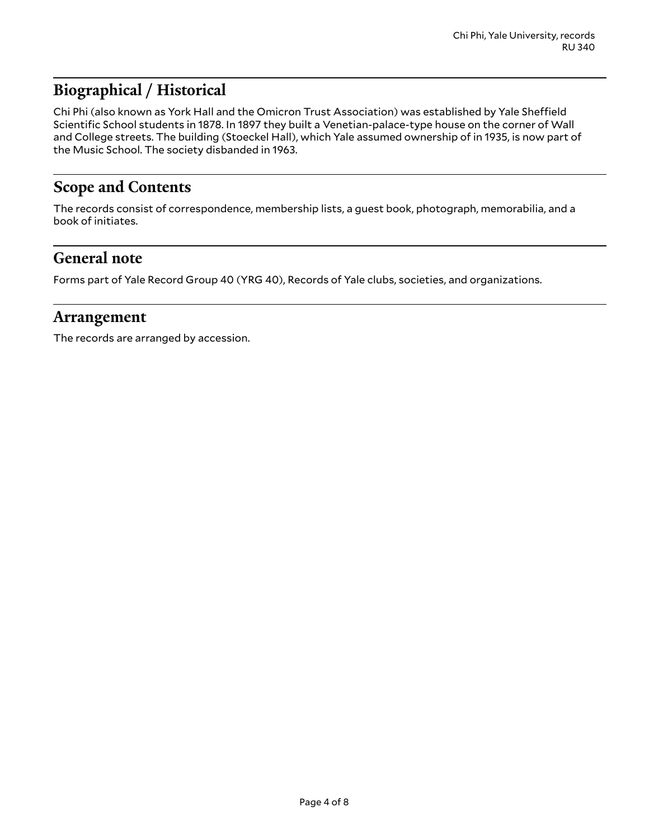# <span id="page-3-0"></span>**Biographical / Historical**

Chi Phi (also known as York Hall and the Omicron Trust Association) was established by Yale Sheffield Scientific School students in 1878. In 1897 they built a Venetian-palace-type house on the corner of Wall and College streets. The building (Stoeckel Hall), which Yale assumed ownership of in 1935, is now part of the Music School. The society disbanded in 1963.

# <span id="page-3-1"></span>**Scope and Contents**

The records consist of correspondence, membership lists, a guest book, photograph, memorabilia, and a book of initiates.

#### <span id="page-3-2"></span>**General note**

Forms part of Yale Record Group 40 (YRG 40), Records of Yale clubs, societies, and organizations.

#### <span id="page-3-3"></span>**Arrangement**

The records are arranged by accession.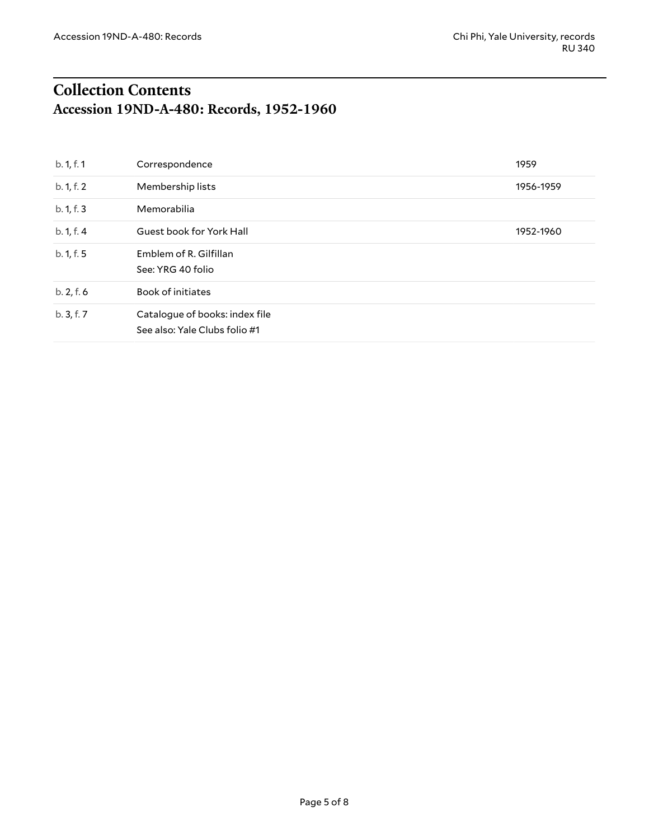# <span id="page-4-1"></span><span id="page-4-0"></span>**Collection Contents Accession 19ND-A-480: Records, 1952-1960**

| b. 1, f. 1 | Correspondence                                                  | 1959      |
|------------|-----------------------------------------------------------------|-----------|
| b. 1, f. 2 | Membership lists                                                | 1956-1959 |
| b. 1, f. 3 | Memorabilia                                                     |           |
| b. 1, f. 4 | Guest book for York Hall                                        | 1952-1960 |
| b. 1, f. 5 | Emblem of R. Gilfillan<br>See: YRG 40 folio                     |           |
| b. 2, f. 6 | <b>Book of initiates</b>                                        |           |
| b.3, f.7   | Catalogue of books: index file<br>See also: Yale Clubs folio #1 |           |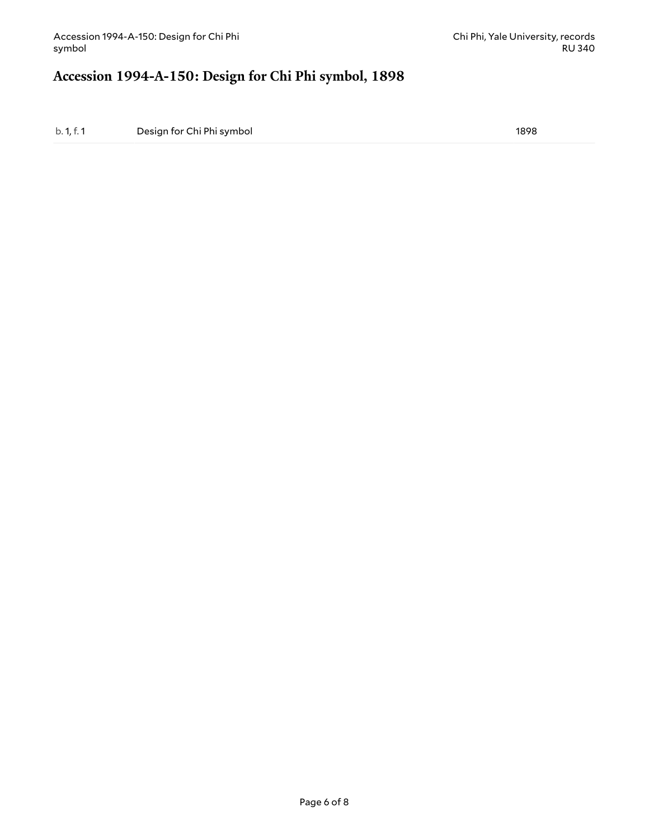### <span id="page-5-0"></span>**Accession 1994-A-150: Design for Chi Phi symbol, 1898**

b. 1, f. 1 Design for Chi Phi symbol 1898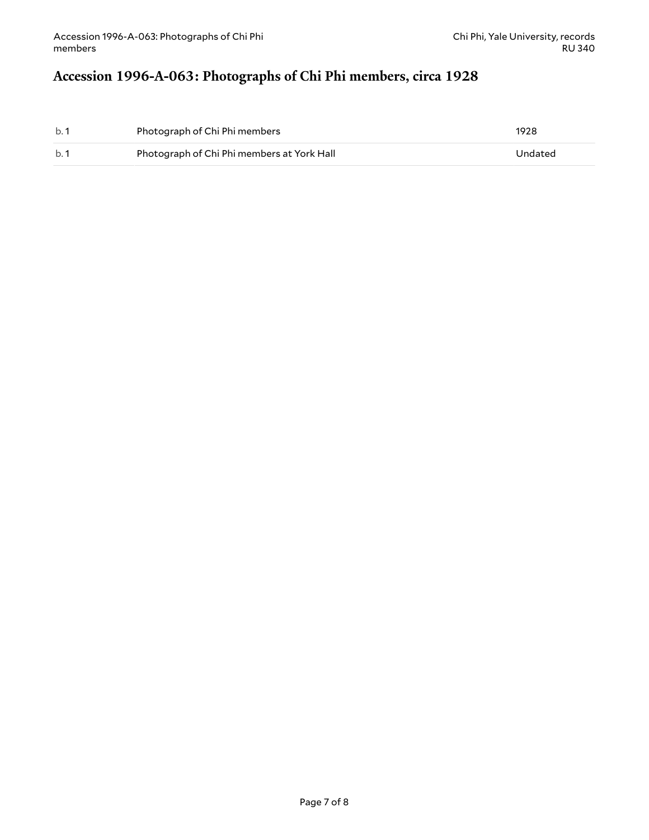# <span id="page-6-0"></span>**Accession 1996-A-063: Photographs of Chi Phi members, circa 1928**

| b.1 | Photograph of Chi Phi members              | 1928    |
|-----|--------------------------------------------|---------|
| b.1 | Photograph of Chi Phi members at York Hall | Undated |